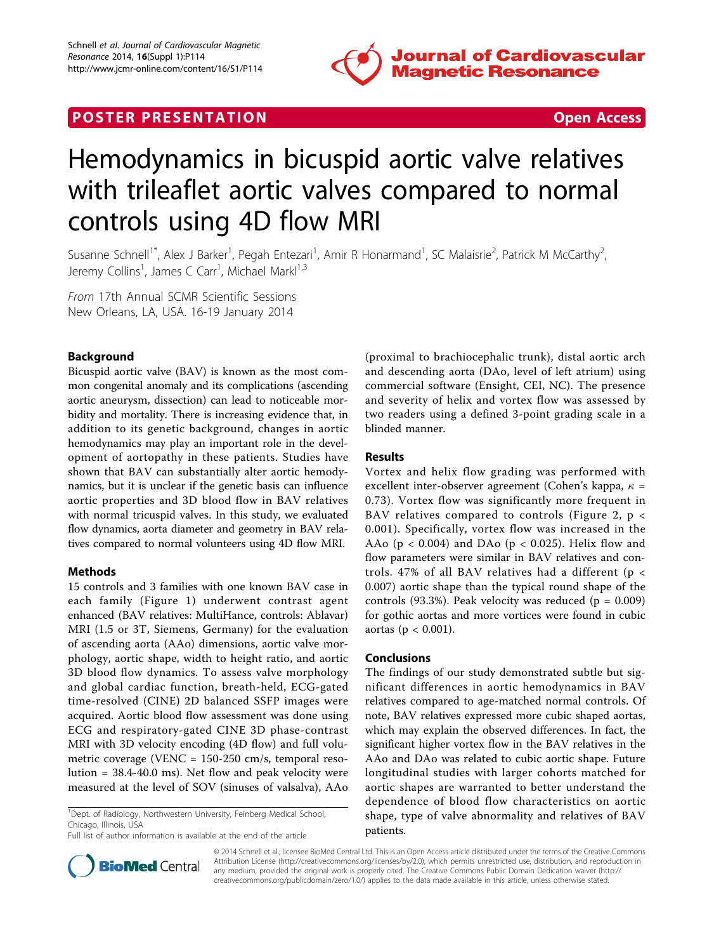

# **POSTER PRESENTATION CONSUMING THE SECOND CONSUMING THE SECOND CONSUMING THE SECOND CONSUMING THE SECOND CONSUMING THE SECOND CONSUMING THE SECOND CONSUMING THE SECOND CONSUMING THE SECOND CONSUMING THE SECOND CONSUMING**



# Hemodynamics in bicuspid aortic valve relatives with trileaflet aortic valves compared to normal controls using 4D flow MRI

Susanne Schnell<sup>1\*</sup>, Alex J Barker<sup>1</sup>, Pegah Entezari<sup>1</sup>, Amir R Honarmand<sup>1</sup>, SC Malaisrie<sup>2</sup>, Patrick M McCarthy<sup>2</sup> , Jeremy Collins<sup>1</sup>, James C Carr<sup>1</sup>, Michael Markl<sup>1,3</sup>

From 17th Annual SCMR Scientific Sessions New Orleans, LA, USA. 16-19 January 2014

## Background

Bicuspid aortic valve (BAV) is known as the most common congenital anomaly and its complications (ascending aortic aneurysm, dissection) can lead to noticeable morbidity and mortality. There is increasing evidence that, in addition to its genetic background, changes in aortic hemodynamics may play an important role in the development of aortopathy in these patients. Studies have shown that BAV can substantially alter aortic hemodynamics, but it is unclear if the genetic basis can influence aortic properties and 3D blood flow in BAV relatives with normal tricuspid valves. In this study, we evaluated flow dynamics, aorta diameter and geometry in BAV relatives compared to normal volunteers using 4D flow MRI.

### Methods

15 controls and 3 families with one known BAV case in each family (Figure [1](#page-1-0)) underwent contrast agent enhanced (BAV relatives: MultiHance, controls: Ablavar) MRI (1.5 or 3T, Siemens, Germany) for the evaluation of ascending aorta (AAo) dimensions, aortic valve morphology, aortic shape, width to height ratio, and aortic 3D blood flow dynamics. To assess valve morphology and global cardiac function, breath-held, ECG-gated time-resolved (CINE) 2D balanced SSFP images were acquired. Aortic blood flow assessment was done using ECG and respiratory-gated CINE 3D phase-contrast MRI with 3D velocity encoding (4D flow) and full volumetric coverage (VENC = 150-250 cm/s, temporal resolution = 38.4-40.0 ms). Net flow and peak velocity were measured at the level of SOV (sinuses of valsalva), AAo

<sup>1</sup>Dept. of Radiology, Northwestern University, Feinberg Medical School, Chicago, Illinois, USA

(proximal to brachiocephalic trunk), distal aortic arch and descending aorta (DAo, level of left atrium) using commercial software (Ensight, CEI, NC). The presence and severity of helix and vortex flow was assessed by two readers using a defined 3-point grading scale in a blinded manner.

#### Results

Vortex and helix flow grading was performed with excellent inter-observer agreement (Cohen's kappa,  $\kappa$  = 0.73). Vortex flow was significantly more frequent in BAV relatives compared to controls (Figure [2,](#page-1-0) p < 0.001). Specifically, vortex flow was increased in the AAo ( $p < 0.004$ ) and DAo ( $p < 0.025$ ). Helix flow and flow parameters were similar in BAV relatives and controls. 47% of all BAV relatives had a different (p < 0.007) aortic shape than the typical round shape of the controls (93.3%). Peak velocity was reduced ( $p = 0.009$ ) for gothic aortas and more vortices were found in cubic aortas (p  $< 0.001$ ).

#### Conclusions

The findings of our study demonstrated subtle but significant differences in aortic hemodynamics in BAV relatives compared to age-matched normal controls. Of note, BAV relatives expressed more cubic shaped aortas, which may explain the observed differences. In fact, the significant higher vortex flow in the BAV relatives in the AAo and DAo was related to cubic aortic shape. Future longitudinal studies with larger cohorts matched for aortic shapes are warranted to better understand the dependence of blood flow characteristics on aortic shape, type of valve abnormality and relatives of BAV patients.



© 2014 Schnell et al.; licensee BioMed Central Ltd. This is an Open Access article distributed under the terms of the Creative Commons Attribution License [\(http://creativecommons.org/licenses/by/2.0](http://creativecommons.org/licenses/by/2.0)), which permits unrestricted use, distribution, and reproduction in any medium, provided the original work is properly cited. The Creative Commons Public Domain Dedication waiver [\(http://](http://creativecommons.org/publicdomain/zero/1.0/) [creativecommons.org/publicdomain/zero/1.0/](http://creativecommons.org/publicdomain/zero/1.0/)) applies to the data made available in this article, unless otherwise stated.

Full list of author information is available at the end of the article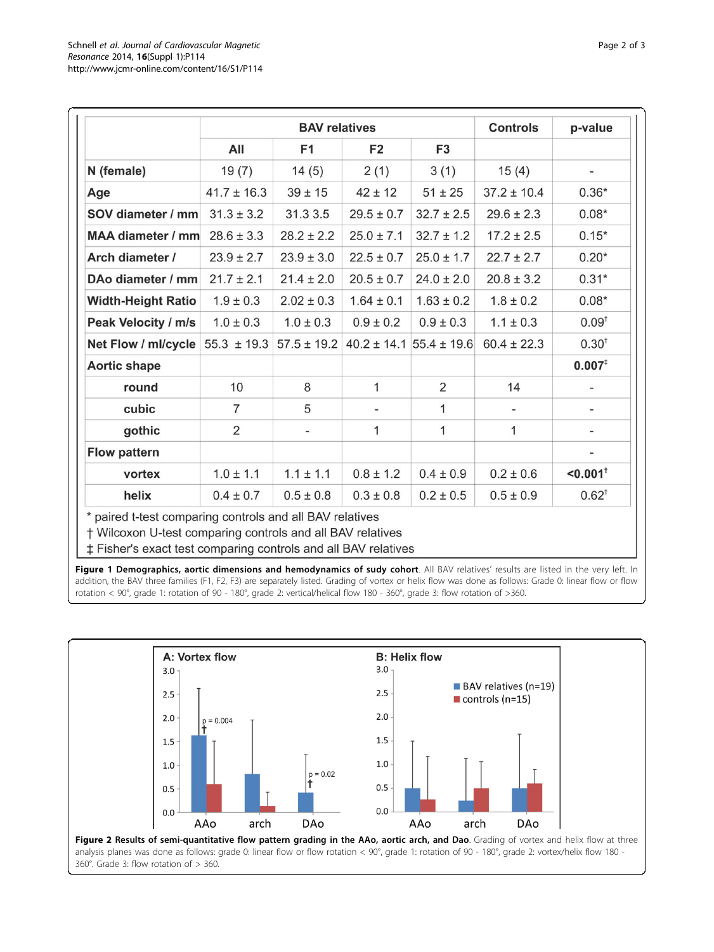<span id="page-1-0"></span>

|                           | <b>BAV relatives</b> |                 |                |                                 | <b>Controls</b> | p-value                  |
|---------------------------|----------------------|-----------------|----------------|---------------------------------|-----------------|--------------------------|
|                           | All                  | F <sub>1</sub>  | F <sub>2</sub> | F <sub>3</sub>                  |                 |                          |
| N (female)                | 19(7)                | 14(5)           | 2(1)           | 3(1)                            | 15(4)           | -                        |
| Age                       | $41.7 \pm 16.3$      | $39 \pm 15$     | $42 \pm 12$    | $51 \pm 25$                     | $37.2 \pm 10.4$ | $0.36*$                  |
| SOV diameter / mm         | $31.3 \pm 3.2$       | 31.3 3.5        | $29.5 \pm 0.7$ | $32.7 \pm 2.5$                  | $29.6 \pm 2.3$  | $0.08*$                  |
| <b>MAA diameter / mm</b>  | $28.6 \pm 3.3$       | $28.2 \pm 2.2$  | $25.0 \pm 7.1$ | $32.7 \pm 1.2$                  | $17.2 \pm 2.5$  | $0.15*$                  |
| Arch diameter /           | $23.9 \pm 2.7$       | $23.9 \pm 3.0$  | $22.5 \pm 0.7$ | $25.0 \pm 1.7$                  | $22.7 \pm 2.7$  | $0.20*$                  |
| DAo diameter / mm         | $21.7 \pm 2.1$       | $21.4 \pm 2.0$  | $20.5 \pm 0.7$ | $24.0 \pm 2.0$                  | $20.8 \pm 3.2$  | $0.31*$                  |
| <b>Width-Height Ratio</b> | $1.9 \pm 0.3$        | $2.02 \pm 0.3$  | $1.64 \pm 0.1$ | $1.63 \pm 0.2$                  | $1.8 \pm 0.2$   | $0.08*$                  |
| Peak Velocity / m/s       | $1.0 \pm 0.3$        | $1.0 \pm 0.3$   | $0.9 \pm 0.2$  | $0.9 \pm 0.3$                   | $1.1 \pm 0.3$   | $0.09^{\dagger}$         |
| Net Flow / ml/cycle       | $55.3 \pm 19.3$      | $57.5 \pm 19.2$ |                | $40.2 \pm 14.1$ 55.4 $\pm$ 19.6 | $60.4 \pm 22.3$ | $0.30^{+}$               |
| <b>Aortic shape</b>       |                      |                 |                |                                 |                 | $0.007^{t}$              |
| round                     | 10                   | 8               | $\mathbf{1}$   | $\overline{2}$                  | 14              | $\overline{\phantom{0}}$ |
| cubic                     | $\overline{7}$       | 5               |                | 1                               |                 | $\overline{\phantom{a}}$ |
| gothic                    | $\overline{2}$       |                 | $\mathbf{1}$   | 1                               | 1               | -                        |
| <b>Flow pattern</b>       |                      |                 |                |                                 |                 | -                        |
| vortex                    | $1.0 \pm 1.1$        | $1.1 \pm 1.1$   | $0.8 \pm 1.2$  | $0.4 \pm 0.9$                   | $0.2 \pm 0.6$   | $< 0.001$ <sup>+</sup>   |
| helix                     | $0.4 \pm 0.7$        | $0.5 \pm 0.8$   | $0.3 \pm 0.8$  | $0.2 \pm 0.5$                   | $0.5 \pm 0.9$   | $0.62^{+}$               |

# Fisher's exact test comparing controls and all BAV relatives

Figure 1 Demographics, aortic dimensions and hemodynamics of sudy cohort. All BAV relatives' results are listed in the very left. In addition, the BAV three families (F1, F2, F3) are separately listed. Grading of vortex or helix flow was done as follows: Grade 0: linear flow or flow rotation < 90°, grade 1: rotation of 90 - 180°, grade 2: vertical/helical flow 180 - 360°, grade 3: flow rotation of >360.